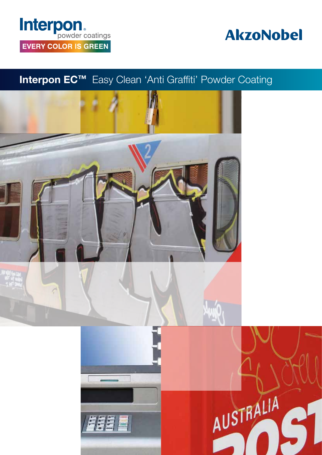# Interpon. **EVERY COLOR IS GREEN**

## **AkzoNobel**

## Interpon EC™ Easy Clean 'Anti Graffiti' Powder Coating